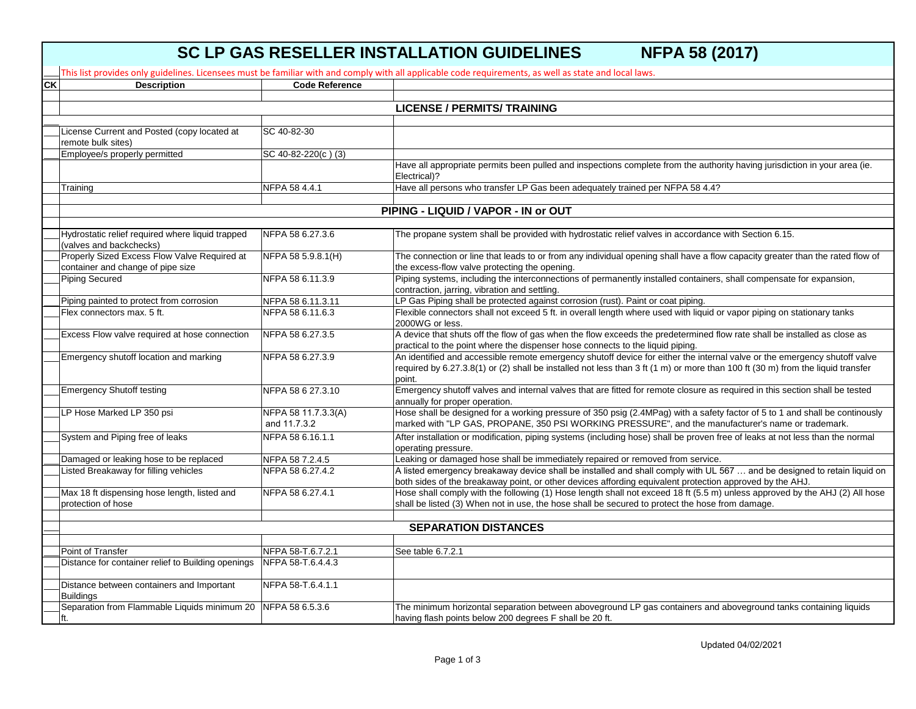## **SC LP GAS RESELLER INSTALLATION GUIDELINES NFPA 58 (2017)**

|                          |                                                                |                       | This list provides only guidelines. Licensees must be familiar with and comply with all applicable code requirements, as well as state and local laws.                                                      |
|--------------------------|----------------------------------------------------------------|-----------------------|-------------------------------------------------------------------------------------------------------------------------------------------------------------------------------------------------------------|
| $\overline{\mathsf{CK}}$ | <b>Description</b>                                             | <b>Code Reference</b> |                                                                                                                                                                                                             |
|                          |                                                                |                       |                                                                                                                                                                                                             |
|                          |                                                                |                       | <b>LICENSE / PERMITS/ TRAINING</b>                                                                                                                                                                          |
|                          |                                                                |                       |                                                                                                                                                                                                             |
|                          | License Current and Posted (copy located at                    | SC 40-82-30           |                                                                                                                                                                                                             |
|                          | remote bulk sites)                                             |                       |                                                                                                                                                                                                             |
|                          | Employee/s properly permitted                                  | SC 40-82-220(c)(3)    |                                                                                                                                                                                                             |
|                          |                                                                |                       | Have all appropriate permits been pulled and inspections complete from the authority having jurisdiction in your area (ie.                                                                                  |
|                          |                                                                |                       | Electrical)?                                                                                                                                                                                                |
|                          | Training                                                       | NFPA 58 4.4.1         | Have all persons who transfer LP Gas been adequately trained per NFPA 58 4.4?                                                                                                                               |
|                          |                                                                |                       |                                                                                                                                                                                                             |
|                          |                                                                |                       | PIPING - LIQUID / VAPOR - IN or OUT                                                                                                                                                                         |
|                          |                                                                |                       |                                                                                                                                                                                                             |
|                          | Hydrostatic relief required where liquid trapped               | NFPA 58 6.27.3.6      | The propane system shall be provided with hydrostatic relief valves in accordance with Section 6.15.                                                                                                        |
|                          | (valves and backchecks)                                        |                       |                                                                                                                                                                                                             |
|                          | Properly Sized Excess Flow Valve Required at                   | NFPA 58 5.9.8.1(H)    | The connection or line that leads to or from any individual opening shall have a flow capacity greater than the rated flow of                                                                               |
|                          | container and change of pipe size                              |                       | the excess-flow valve protecting the opening.                                                                                                                                                               |
|                          | <b>Piping Secured</b>                                          | NFPA 58 6.11.3.9      | Piping systems, including the interconnections of permanently installed containers, shall compensate for expansion,                                                                                         |
|                          |                                                                |                       | contraction, jarring, vibration and settling.                                                                                                                                                               |
|                          | Piping painted to protect from corrosion                       | NFPA 58 6.11.3.11     | LP Gas Piping shall be protected against corrosion (rust). Paint or coat piping.                                                                                                                            |
|                          | Flex connectors max, 5 ft.                                     | NFPA 58 6.11.6.3      | Flexible connectors shall not exceed 5 ft. in overall length where used with liquid or vapor piping on stationary tanks                                                                                     |
|                          |                                                                |                       | 2000WG or less.                                                                                                                                                                                             |
|                          | Excess Flow valve required at hose connection                  | NFPA 58 6.27.3.5      | A device that shuts off the flow of gas when the flow exceeds the predetermined flow rate shall be installed as close as                                                                                    |
|                          |                                                                |                       | practical to the point where the dispenser hose connects to the liquid piping.<br>An identified and accessible remote emergency shutoff device for either the internal valve or the emergency shutoff valve |
|                          | Emergency shutoff location and marking                         | NFPA 58 6.27.3.9      | required by 6.27.3.8(1) or (2) shall be installed not less than 3 ft (1 m) or more than 100 ft (30 m) from the liquid transfer                                                                              |
|                          |                                                                |                       | point.                                                                                                                                                                                                      |
|                          | <b>Emergency Shutoff testing</b>                               | NFPA 58 6 27.3.10     | Emergency shutoff valves and internal valves that are fitted for remote closure as required in this section shall be tested                                                                                 |
|                          |                                                                |                       | annually for proper operation.                                                                                                                                                                              |
|                          | LP Hose Marked LP 350 psi                                      | NFPA 58 11.7.3.3(A)   | Hose shall be designed for a working pressure of 350 psig (2.4MPag) with a safety factor of 5 to 1 and shall be continously                                                                                 |
|                          |                                                                | and 11.7.3.2          | marked with "LP GAS, PROPANE, 350 PSI WORKING PRESSURE", and the manufacturer's name or trademark.                                                                                                          |
|                          | System and Piping free of leaks                                | NFPA 58 6.16.1.1      | After installation or modification, piping systems (including hose) shall be proven free of leaks at not less than the normal                                                                               |
|                          |                                                                |                       | operating pressure.                                                                                                                                                                                         |
|                          | Damaged or leaking hose to be replaced                         | NFPA 58 7.2.4.5       | Leaking or damaged hose shall be immediately repaired or removed from service.                                                                                                                              |
|                          | Listed Breakaway for filling vehicles                          | NFPA 58 6.27.4.2      | A listed emergency breakaway device shall be installed and shall comply with UL 567  and be designed to retain liquid on                                                                                    |
|                          |                                                                |                       | both sides of the breakaway point, or other devices affording equivalent protection approved by the AHJ.                                                                                                    |
|                          | Max 18 ft dispensing hose length, listed and                   | NFPA 58 6.27.4.1      | Hose shall comply with the following (1) Hose length shall not exceed 18 ft (5.5 m) unless approved by the AHJ (2) All hose                                                                                 |
|                          | protection of hose                                             |                       | shall be listed (3) When not in use, the hose shall be secured to protect the hose from damage.                                                                                                             |
|                          |                                                                |                       |                                                                                                                                                                                                             |
|                          |                                                                |                       | <b>SEPARATION DISTANCES</b>                                                                                                                                                                                 |
|                          |                                                                |                       |                                                                                                                                                                                                             |
|                          | Point of Transfer                                              | NFPA 58-T.6.7.2.1     | See table 6.7.2.1                                                                                                                                                                                           |
|                          | Distance for container relief to Building openings             | NFPA 58-T.6.4.4.3     |                                                                                                                                                                                                             |
|                          |                                                                |                       |                                                                                                                                                                                                             |
|                          | Distance between containers and Important                      | NFPA 58-T.6.4.1.1     |                                                                                                                                                                                                             |
|                          | <b>Buildings</b>                                               |                       |                                                                                                                                                                                                             |
|                          | Separation from Flammable Liquids minimum 20   NFPA 58 6.5.3.6 |                       | The minimum horizontal separation between aboveground LP gas containers and aboveground tanks containing liquids                                                                                            |
|                          |                                                                |                       | having flash points below 200 degrees F shall be 20 ft.                                                                                                                                                     |

Updated 04/02/2021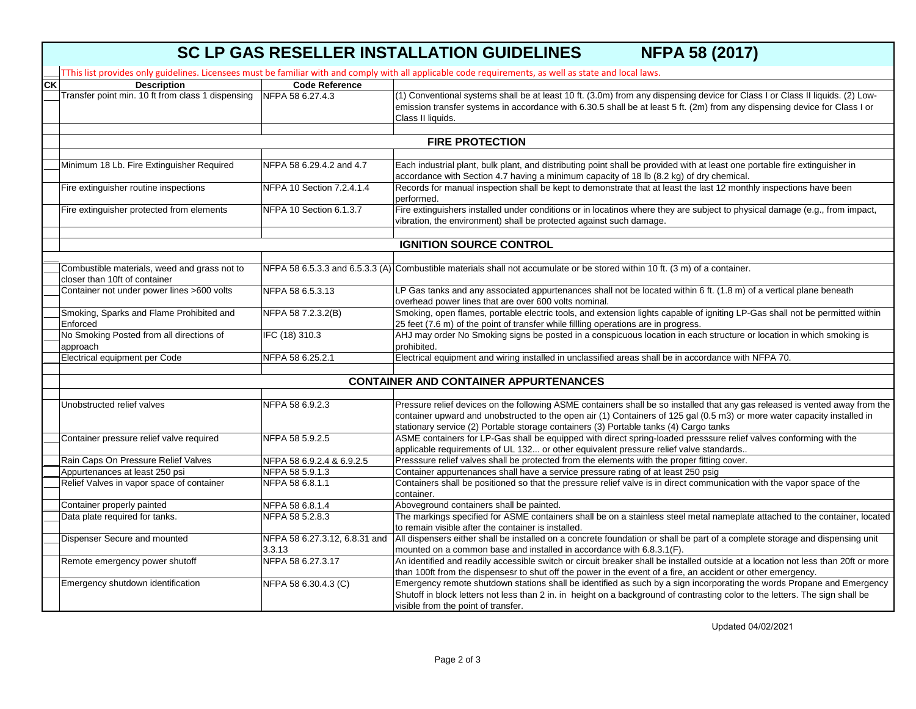|           | <b>SC LP GAS RESELLER INSTALLATION GUIDELINES</b><br><b>NFPA 58 (2017)</b>    |                               |                                                                                                                                                                                                                                                                                  |  |  |  |  |
|-----------|-------------------------------------------------------------------------------|-------------------------------|----------------------------------------------------------------------------------------------------------------------------------------------------------------------------------------------------------------------------------------------------------------------------------|--|--|--|--|
|           |                                                                               |                               | TThis list provides only guidelines. Licensees must be familiar with and comply with all applicable code requirements, as well as state and local laws.                                                                                                                          |  |  |  |  |
| <b>CK</b> | <b>Description</b>                                                            | <b>Code Reference</b>         |                                                                                                                                                                                                                                                                                  |  |  |  |  |
|           | Transfer point min. 10 ft from class 1 dispensing                             | NFPA 58 6.27.4.3              | (1) Conventional systems shall be at least 10 ft. (3.0m) from any dispensing device for Class I or Class II liquids. (2) Low-<br>emission transfer systems in accordance with 6.30.5 shall be at least 5 ft. (2m) from any dispensing device for Class I or<br>Class II liquids. |  |  |  |  |
|           | <b>FIRE PROTECTION</b>                                                        |                               |                                                                                                                                                                                                                                                                                  |  |  |  |  |
|           |                                                                               |                               |                                                                                                                                                                                                                                                                                  |  |  |  |  |
|           | Minimum 18 Lb. Fire Extinguisher Required                                     | NFPA 58 6.29.4.2 and 4.7      | Each industrial plant, bulk plant, and distributing point shall be provided with at least one portable fire extinguisher in<br>accordance with Section 4.7 having a minimum capacity of 18 lb (8.2 kg) of dry chemical.                                                          |  |  |  |  |
|           | Fire extinguisher routine inspections                                         | NFPA 10 Section 7.2.4.1.4     | Records for manual inspection shall be kept to demonstrate that at least the last 12 monthly inspections have been<br>performed.                                                                                                                                                 |  |  |  |  |
|           | Fire extinguisher protected from elements                                     | NFPA 10 Section 6.1.3.7       | Fire extinguishers installed under conditions or in locatinos where they are subject to physical damage (e.g., from impact,<br>vibration, the environment) shall be protected against such damage.                                                                               |  |  |  |  |
|           |                                                                               |                               | <b>IGNITION SOURCE CONTROL</b>                                                                                                                                                                                                                                                   |  |  |  |  |
|           |                                                                               |                               |                                                                                                                                                                                                                                                                                  |  |  |  |  |
|           | Combustible materials, weed and grass not to<br>closer than 10ft of container |                               | NFPA 58 6.5.3.3 and 6.5.3.3 (A) Combustible materials shall not accumulate or be stored within 10 ft. (3 m) of a container.                                                                                                                                                      |  |  |  |  |
|           | Container not under power lines >600 volts                                    | NFPA 58 6.5.3.13              | LP Gas tanks and any associated appurtenances shall not be located within 6 ft. (1.8 m) of a vertical plane beneath<br>overhead power lines that are over 600 volts nominal.                                                                                                     |  |  |  |  |
|           | Smoking, Sparks and Flame Prohibited and                                      | NFPA 58 7.2.3.2(B)            | Smoking, open flames, portable electric tools, and extension lights capable of igniting LP-Gas shall not be permitted within                                                                                                                                                     |  |  |  |  |
|           | Enforced                                                                      |                               | 25 feet (7.6 m) of the point of transfer while fillling operations are in progress.                                                                                                                                                                                              |  |  |  |  |
|           | No Smoking Posted from all directions of<br>approach                          | IFC (18) 310.3                | AHJ may order No Smoking signs be posted in a conspicuous location in each structure or location in which smoking is<br>prohibited.                                                                                                                                              |  |  |  |  |
|           | Electrical equipment per Code                                                 | NFPA 58 6.25.2.1              | Electrical equipment and wiring installed in unclassified areas shall be in accordance with NFPA 70.                                                                                                                                                                             |  |  |  |  |
|           |                                                                               |                               |                                                                                                                                                                                                                                                                                  |  |  |  |  |
|           |                                                                               |                               | <b>CONTAINER AND CONTAINER APPURTENANCES</b>                                                                                                                                                                                                                                     |  |  |  |  |
|           | Unobstructed relief valves                                                    | NFPA 58 6.9.2.3               | Pressure relief devices on the following ASME containers shall be so installed that any gas released is vented away from the                                                                                                                                                     |  |  |  |  |
|           |                                                                               |                               | container upward and unobstructed to the open air (1) Containers of 125 gal (0.5 m3) or more water capacity installed in                                                                                                                                                         |  |  |  |  |
|           |                                                                               |                               | stationary service (2) Portable storage containers (3) Portable tanks (4) Cargo tanks                                                                                                                                                                                            |  |  |  |  |
|           | Container pressure relief valve required                                      | NFPA 58 5.9.2.5               | ASME containers for LP-Gas shall be equipped with direct spring-loaded presssure relief valves conforming with the<br>applicable requirements of UL 132 or other equivalent pressure relief valve standards                                                                      |  |  |  |  |
|           | Rain Caps On Pressure Relief Valves                                           | NFPA 58 6.9.2.4 & 6.9.2.5     | Presssure relief valves shall be protected from the elements with the proper fitting cover.                                                                                                                                                                                      |  |  |  |  |
|           | Appurtenances at least 250 psi                                                | NFPA 58 5.9.1.3               | Container appurtenances shall have a service pressure rating of at least 250 psig                                                                                                                                                                                                |  |  |  |  |
|           | Relief Valves in vapor space of container                                     | NFPA 58 6.8.1.1               | Containers shall be positioned so that the pressure relief valve is in direct communication with the vapor space of the<br>container.                                                                                                                                            |  |  |  |  |
|           | Container properly painted                                                    | NFPA 58 6.8.1.4               | Aboveground containers shall be painted.                                                                                                                                                                                                                                         |  |  |  |  |
|           | Data plate required for tanks.                                                | NFPA 58 5.2.8.3               | The markings specified for ASME containers shall be on a stainless steel metal nameplate attached to the container, located                                                                                                                                                      |  |  |  |  |
|           |                                                                               |                               | to remain visible after the container is installed.                                                                                                                                                                                                                              |  |  |  |  |
|           | Dispenser Secure and mounted                                                  | NFPA 58 6.27.3.12, 6.8.31 and | All dispensers either shall be installed on a concrete foundation or shall be part of a complete storage and dispensing unit                                                                                                                                                     |  |  |  |  |
|           |                                                                               | 3.3.13                        | mounted on a common base and installed in accordance with 6.8.3.1(F).                                                                                                                                                                                                            |  |  |  |  |
|           | Remote emergency power shutoff                                                | NFPA 58 6.27.3.17             | An identified and readily accessible switch or circuit breaker shall be installed outside at a location not less than 20ft or more                                                                                                                                               |  |  |  |  |
|           |                                                                               |                               | than 100ft from the dispensesr to shut off the power in the event of a fire, an accident or other emergency.                                                                                                                                                                     |  |  |  |  |
|           | Emergency shutdown identification                                             | NFPA 58 6.30.4.3 (C)          | Emergency remote shutdown stations shall be identified as such by a sign incorporating the words Propane and Emergency<br>Shutoff in block letters not less than 2 in. in height on a background of contrasting color to the letters. The sign shall be                          |  |  |  |  |
|           |                                                                               |                               | visible from the point of transfer.                                                                                                                                                                                                                                              |  |  |  |  |

Updated 04/02/2021